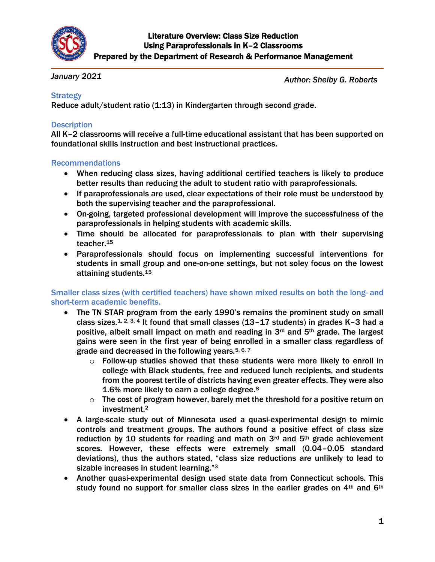

#### *January 2021*

*Author: Shelby G. Roberts*

### **Strategy**

Reduce adult/student ratio (1:13) in Kindergarten through second grade.

### **Description**

All K–2 classrooms will receive a full-time educational assistant that has been supported on foundational skills instruction and best instructional practices.

#### Recommendations

- When reducing class sizes, having additional certified teachers is likely to produce better results than reducing the adult to student ratio with paraprofessionals.
- If paraprofessionals are used, clear expectations of their role must be understood by both the supervising teacher and the paraprofessional.
- On-going, targeted professional development will improve the successfulness of the paraprofessionals in helping students with academic skills.
- Time should be allocated for paraprofessionals to plan with their supervising teacher.<sup>15</sup>
- Paraprofessionals should focus on implementing successful interventions for students in small group and one-on-one settings, but not soley focus on the lowest attaining students.<sup>15</sup>

#### Smaller class sizes (with certified teachers) have shown mixed results on both the long- and short-term academic benefits.

- The TN STAR program from the early 1990's remains the prominent study on small class sizes.<sup>1, 2, 3, 4</sup> It found that small classes (13–17 students) in grades K–3 had a positive, albeit small impact on math and reading in 3rd and 5th grade. The largest gains were seen in the first year of being enrolled in a smaller class regardless of grade and decreased in the following years.  $5, 6, 7$ 
	- $\circ$  Follow-up studies showed that these students were more likely to enroll in college with Black students, free and reduced lunch recipients, and students from the poorest tertile of districts having even greater effects. They were also 1.6% more likely to earn a college degree.<sup>8</sup>
	- $\circ$  The cost of program however, barely met the threshold for a positive return on investment.<sup>2</sup>
- A large-scale study out of Minnesota used a quasi-experimental design to mimic controls and treatment groups. The authors found a positive effect of class size reduction by 10 students for reading and math on  $3<sup>rd</sup>$  and  $5<sup>th</sup>$  grade achievement scores. However, these effects were extremely small (0.04–0.05 standard deviations), thus the authors stated, "class size reductions are unlikely to lead to sizable increases in student learning."<sup>3</sup>
- Another quasi-experimental design used state data from Connecticut schools. This study found no support for smaller class sizes in the earlier grades on 4<sup>th</sup> and 6<sup>th</sup>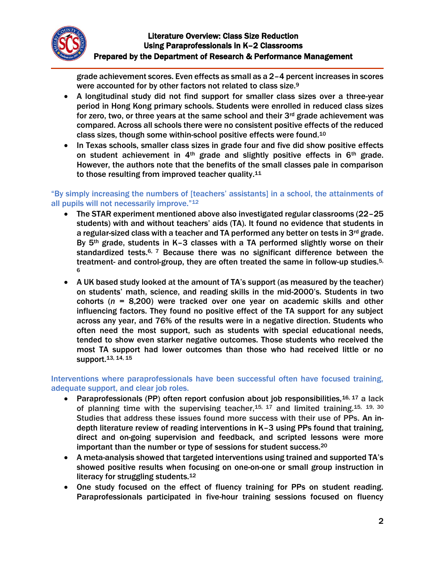

grade achievement scores. Even effects as small as a 2–4 percent increases in scores were accounted for by other factors not related to class size.<sup>9</sup>

- A longitudinal study did not find support for smaller class sizes over a three-year period in Hong Kong primary schools. Students were enrolled in reduced class sizes for zero, two, or three years at the same school and their 3rd grade achievement was compared. Across all schools there were no consistent positive effects of the reduced class sizes, though some within-school positive effects were found.<sup>10</sup>
- In Texas schools, smaller class sizes in grade four and five did show positive effects on student achievement in 4th grade and slightly positive effects in 6th grade. However, the authors note that the benefits of the small classes pale in comparison to those resulting from improved teacher quality.<sup>11</sup>

#### "By simply increasing the numbers of [teachers' assistants] in a school, the attainments of all pupils will not necessarily improve."<sup>12</sup>

- The STAR experiment mentioned above also investigated regular classrooms (22–25 students) with and without teachers' aids (TA). It found no evidence that students in a regular-sized class with a teacher and TA performed any better on tests in  $3^{rd}$  grade. By 5<sup>th</sup> grade, students in K-3 classes with a TA performed slightly worse on their standardized tests.<sup>6, 7</sup> Because there was no significant difference between the treatment- and control-group, they are often treated the same in follow-up studies.<sup>5,</sup> 6
- A UK based study looked at the amount of TA's support (as measured by the teacher) on students' math, science, and reading skills in the mid-2000's. Students in two cohorts (*n* = 8,200) were tracked over one year on academic skills and other influencing factors. They found no positive effect of the TA support for any subject across any year, and 76% of the results were in a negative direction. Students who often need the most support, such as students with special educational needs, tended to show even starker negative outcomes. Those students who received the most TA support had lower outcomes than those who had received little or no support.13, 14, 15

#### Interventions where paraprofessionals have been successful often have focused training, adequate support, and clear job roles.

- **Paraprofessionals (PP) often report confusion about job responsibilities.**  $16, 17$  a lack of planning time with the supervising teacher,  $15, 17$  and limited training.  $15, 19, 30$ Studies that address these issues found more success with their use of PPs. An indepth literature review of reading interventions in K–3 using PPs found that training, direct and on-going supervision and feedback, and scripted lessons were more important than the number or type of sessions for student success.<sup>20</sup>
- A meta-analysis showed that targeted interventions using trained and supported TA's showed positive results when focusing on one-on-one or small group instruction in literacy for struggling students.<sup>12</sup>
- One study focused on the effect of fluency training for PPs on student reading. Paraprofessionals participated in five-hour training sessions focused on fluency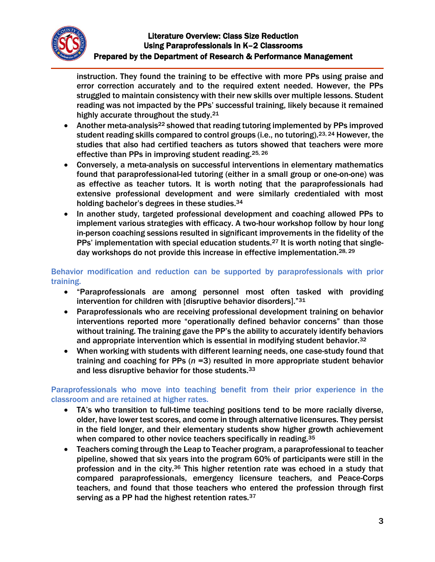

instruction. They found the training to be effective with more PPs using praise and error correction accurately and to the required extent needed. However, the PPs struggled to maintain consistency with their new skills over multiple lessons. Student reading was not impacted by the PPs' successful training, likely because it remained highly accurate throughout the study.<sup>21</sup>

- Another meta-analysis<sup>22</sup> showed that reading tutoring implemented by PPs improved student reading skills compared to control groups (i.e., no tutoring).23, 24 However, the studies that also had certified teachers as tutors showed that teachers were more effective than PPs in improving student reading.25, 26
- Conversely, a meta-analysis on successful interventions in elementary mathematics found that paraprofessional-led tutoring (either in a small group or one-on-one) was as effective as teacher tutors. It is worth noting that the paraprofessionals had extensive professional development and were similarly credentialed with most holding bachelor's degrees in these studies.<sup>34</sup>
- In another study, targeted professional development and coaching allowed PPs to implement various strategies with efficacy. A two-hour workshop follow by hour long in-person coaching sessions resulted in significant improvements in the fidelity of the PPs' implementation with special education students.<sup>27</sup> It is worth noting that singleday workshops do not provide this increase in effective implementation.28, 29

Behavior modification and reduction can be supported by paraprofessionals with prior training.

- "Paraprofessionals are among personnel most often tasked with providing intervention for children with [disruptive behavior disorders]."<sup>31</sup>
- Paraprofessionals who are receiving professional development training on behavior interventions reported more "operationally defined behavior concerns" than those without training. The training gave the PP's the ability to accurately identify behaviors and appropriate intervention which is essential in modifying student behavior.<sup>32</sup>
- When working with students with different learning needs, one case-study found that training and coaching for PPs (*n* =3) resulted in more appropriate student behavior and less disruptive behavior for those students.<sup>33</sup>

Paraprofessionals who move into teaching benefit from their prior experience in the classroom and are retained at higher rates.

- TA's who transition to full-time teaching positions tend to be more racially diverse, older, have lower test scores, and come in through alternative licensures. They persist in the field longer, and their elementary students show higher growth achievement when compared to other novice teachers specifically in reading.<sup>35</sup>
- Teachers coming through the Leap to Teacher program, a paraprofessional to teacher pipeline, showed that six years into the program 60% of participants were still in the profession and in the city.<sup>36</sup> This higher retention rate was echoed in a study that compared paraprofessionals, emergency licensure teachers, and Peace-Corps teachers, and found that those teachers who entered the profession through first serving as a PP had the highest retention rates. 37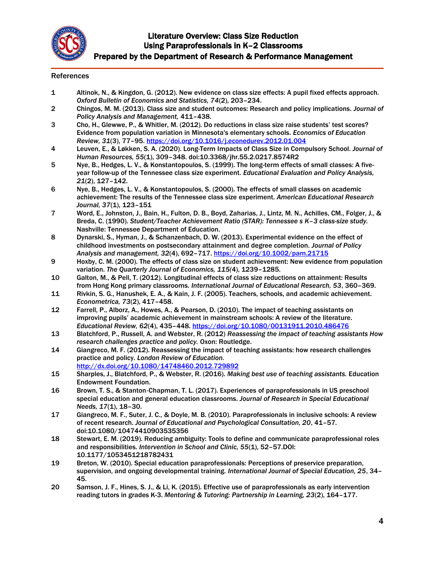

#### References

- 1 Altinok, N., & Kingdon, G. (2012). New evidence on class size effects: A pupil fixed effects approach. *Oxford Bulletin of Economics and Statistics, 74*(2), 203–234.
- 2 Chingos, M. M. (2013). Class size and student outcomes: Research and policy implications. *Journal of Policy Analysis and Management,* 411–438.
- 3 Cho, H., Glewwe, P., & Whitler, M. (2012). Do reductions in class size raise students' test scores? Evidence from population variation in Minnesota's elementary schools. *Economics of Education Review, 31*(3), 77–95.<https://doi.org/10.1016/j.econedurev.2012.01.004>
- 4 Leuven, E., & Løkken, S. A. (2020). Long-Term Impacts of Class Size in Compulsory School. *Journal of Human Resources, 55*(1), 309–348. doi:10.3368/jhr.55.2.0217.8574R2
- 5 Nye, B., Hedges, L. V., & Konstantopoulos, S. (1999). The long-term effects of small classes: A fiveyear follow-up of the Tennessee class size experiment. *Educational Evaluation and Policy Analysis, 21*(2), 127–142.
- 6 Nye, B., Hedges, L. V., & Konstantopoulos, S. (2000). The effects of small classes on academic achievement: The results of the Tennessee class size experiment. *American Educational Research Journal, 37*(1), 123–151
- 7 Word, E., Johnston, J., Bain, H., Fulton, D. B., Boyd, Zaharias, J., Lintz, M. N., Achilles, CM., Folger, J., & Breda, C. (1990). *Student/Teacher Achievement Ratio (STAR): Tennessee s K–3 class-size study.* Nashville: Tennessee Department of Education.
- 8 Dynarski, S., Hyman, J., & Schanzenbach, D. W. (2013). Experimental evidence on the effect of childhood investments on postsecondary attainment and degree completion. *Journal of Policy Analysis and management, 32*(4), 692–717.<https://doi.org/10.1002/pam.21715>
- 9 Hoxby, C. M. (2000). The effects of class size on student achievement: New evidence from population variation. *The Quarterly Journal of Economics, 115(*4), 1239–1285.
- 10 Galton, M., & Pell, T. (2012). Longitudinal effects of class size reductions on attainment: Results from Hong Kong primary classrooms. *International Journal of Educational Research, 53*, 360–369.
- 11 Rivkin, S. G., Hanushek, E. A., & Kain, J. F. (2005). Teachers, schools, and academic achievement. *Econometrica, 73*(2), 417–458.
- 12 Farrell, P., Alborz, A., Howes, A., & Pearson, D. (2010). The impact of teaching assistants on improving pupils' academic achievement in mainstream schools: A review of the literature. *Educational Review, 62*(4), 435–448.<https://doi.org/10.1080/00131911.2010.486476>
- 13 Blatchford, P., Russell, A. and Webster, R. (2012) *Reassessing the impact of teaching assistants How research challenges practice and policy.* Oxon: Routledge.
- 14 Giangreco, M. F. (2012). Reassessing the impact of teaching assistants: how research challenges practice and policy. *London Review of Education.* <http://dx.doi.org/10.1080/14748460.2012.729892>
- 15 Sharples, J., Blatchford, P., & Webster, R. (2016). *Making best use of teaching assistants.* Education Endowment Foundation.
- 16 Brown, T. S., & Stanton‐Chapman, T. L. (2017). Experiences of paraprofessionals in US preschool special education and general education classrooms. *Journal of Research in Special Educational Needs, 17*(1), 18–30.
- 17 Giangreco, M. F., Suter, J. C., & Doyle, M. B. (2010). Paraprofessionals in inclusive schools: A review of recent research. *Journal of Educational and Psychological Consultation, 20*, 41–57. doi:10.1080/10474410903535356
- 18 Stewart, E. M. (2019). Reducing ambiguity: Tools to define and communicate paraprofessional roles and responsibilities. *Intervention in School and Clinic, 55*(1), 52–57.DOI: 10.1177/1053451218782431
- 19 Breton, W. (2010). Special education paraprofessionals: Perceptions of preservice preparation, supervision, and ongoing developmental training. *International Journal of Special Education, 25*, 34– 45.
- 20 Samson, J. F., Hines, S. J., & Li, K. (2015). Effective use of paraprofessionals as early intervention reading tutors in grades K-3. *Mentoring & Tutoring: Partnership in Learning, 23*(2), 164–177.